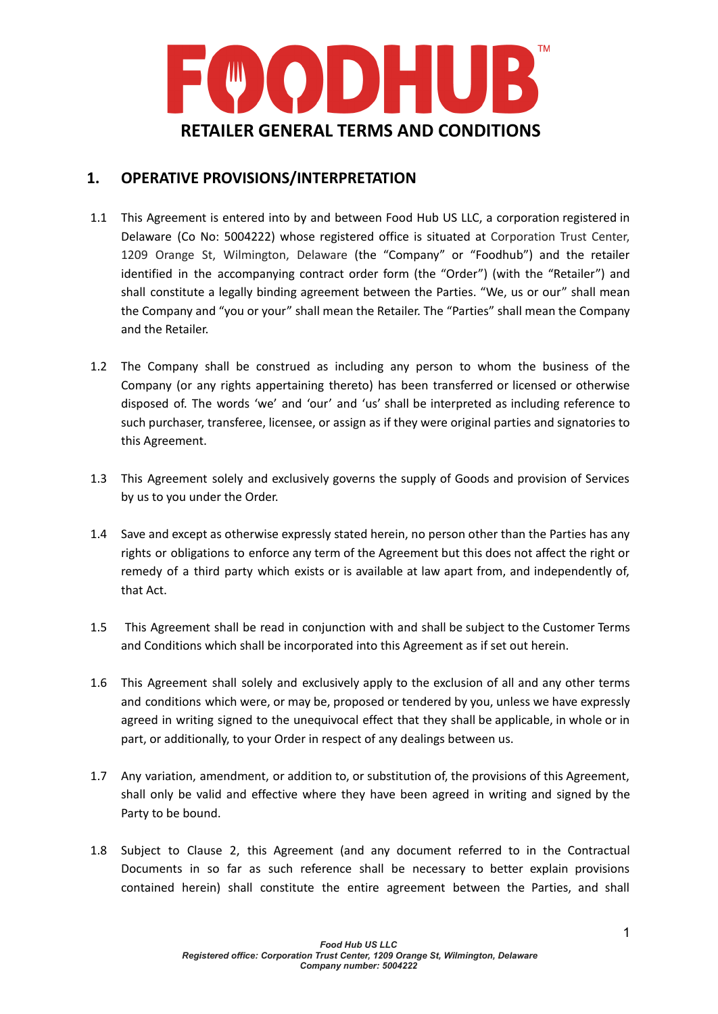

### **1. OPERATIVE PROVISIONS/INTERPRETATION**

- 1.1 This Agreement is entered into by and between Food Hub US LLC, a corporation registered in Delaware (Co No: 5004222) whose registered office is situated at Corporation Trust Center, 1209 Orange St, Wilmington, Delaware (the "Company" or "Foodhub") and the retailer identified in the accompanying contract order form (the "Order") (with the "Retailer") and shall constitute a legally binding agreement between the Parties. "We, us or our" shall mean the Company and "you or your" shall mean the Retailer. The "Parties" shall mean the Company and the Retailer.
- 1.2 The Company shall be construed as including any person to whom the business of the Company (or any rights appertaining thereto) has been transferred or licensed or otherwise disposed of. The words 'we' and 'our' and 'us' shall be interpreted as including reference to such purchaser, transferee, licensee, or assign as if they were original parties and signatories to this Agreement.
- 1.3 This Agreement solely and exclusively governs the supply of Goods and provision of Services by us to you under the Order.
- 1.4 Save and except as otherwise expressly stated herein, no person other than the Parties has any rights or obligations to enforce any term of the Agreement but this does not affect the right or remedy of a third party which exists or is available at law apart from, and independently of, that Act.
- 1.5 This Agreement shall be read in conjunction with and shall be subject to the Customer Terms and Conditions which shall be incorporated into this Agreement as if set out herein.
- 1.6 This Agreement shall solely and exclusively apply to the exclusion of all and any other terms and conditions which were, or may be, proposed or tendered by you, unless we have expressly agreed in writing signed to the unequivocal effect that they shall be applicable, in whole or in part, or additionally, to your Order in respect of any dealings between us.
- 1.7 Any variation, amendment, or addition to, or substitution of, the provisions of this Agreement, shall only be valid and effective where they have been agreed in writing and signed by the Party to be bound.
- 1.8 Subject to Clause 2, this Agreement (and any document referred to in the Contractual Documents in so far as such reference shall be necessary to better explain provisions contained herein) shall constitute the entire agreement between the Parties, and shall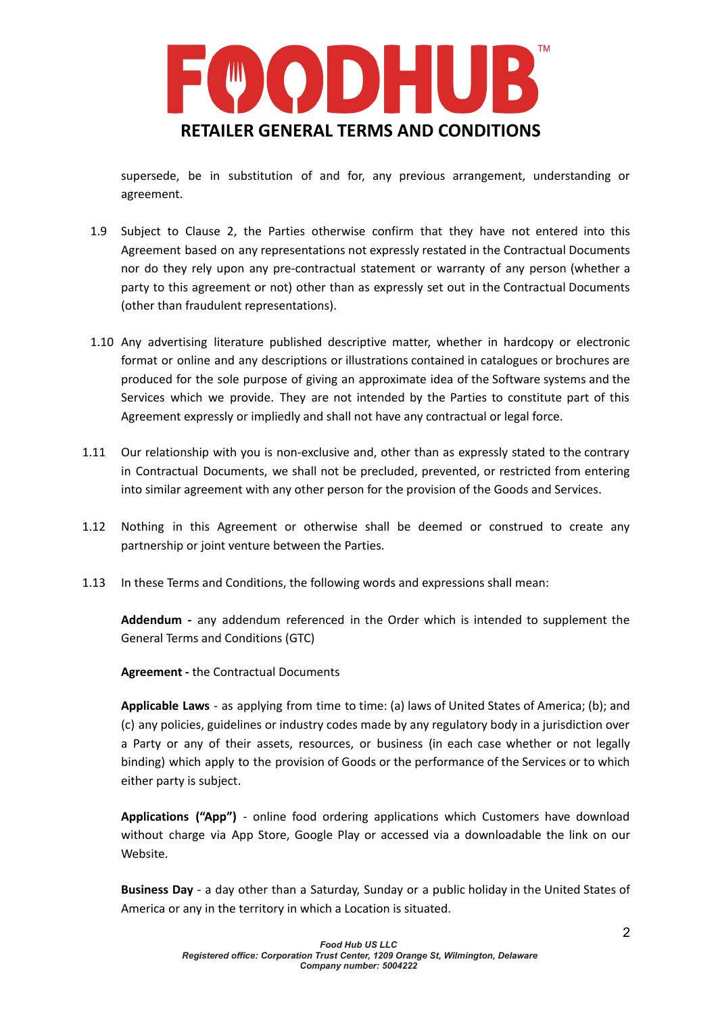

supersede, be in substitution of and for, any previous arrangement, understanding or agreement.

- 1.9 Subject to Clause 2, the Parties otherwise confirm that they have not entered into this Agreement based on any representations not expressly restated in the Contractual Documents nor do they rely upon any pre-contractual statement or warranty of any person (whether a party to this agreement or not) other than as expressly set out in the Contractual Documents (other than fraudulent representations).
- 1.10 Any advertising literature published descriptive matter, whether in hardcopy or electronic format or online and any descriptions or illustrations contained in catalogues or brochures are produced for the sole purpose of giving an approximate idea of the Software systems and the Services which we provide. They are not intended by the Parties to constitute part of this Agreement expressly or impliedly and shall not have any contractual or legal force.
- 1.11 Our relationship with you is non-exclusive and, other than as expressly stated to the contrary in Contractual Documents, we shall not be precluded, prevented, or restricted from entering into similar agreement with any other person for the provision of the Goods and Services.
- 1.12 Nothing in this Agreement or otherwise shall be deemed or construed to create any partnership or joint venture between the Parties.
- 1.13 In these Terms and Conditions, the following words and expressions shall mean:

**Addendum -** any addendum referenced in the Order which is intended to supplement the General Terms and Conditions (GTC)

**Agreement -** the Contractual Documents

**Applicable Laws** - as applying from time to time: (a) laws of United States of America; (b); and (c) any policies, guidelines or industry codes made by any regulatory body in a jurisdiction over a Party or any of their assets, resources, or business (in each case whether or not legally binding) which apply to the provision of Goods or the performance of the Services or to which either party is subject.

**Applications ("App")** - online food ordering applications which Customers have download without charge via App Store, Google Play or accessed via a downloadable the link on our Website.

**Business Day** - a day other than a Saturday, Sunday or a public holiday in the United States of America or any in the territory in which a Location is situated.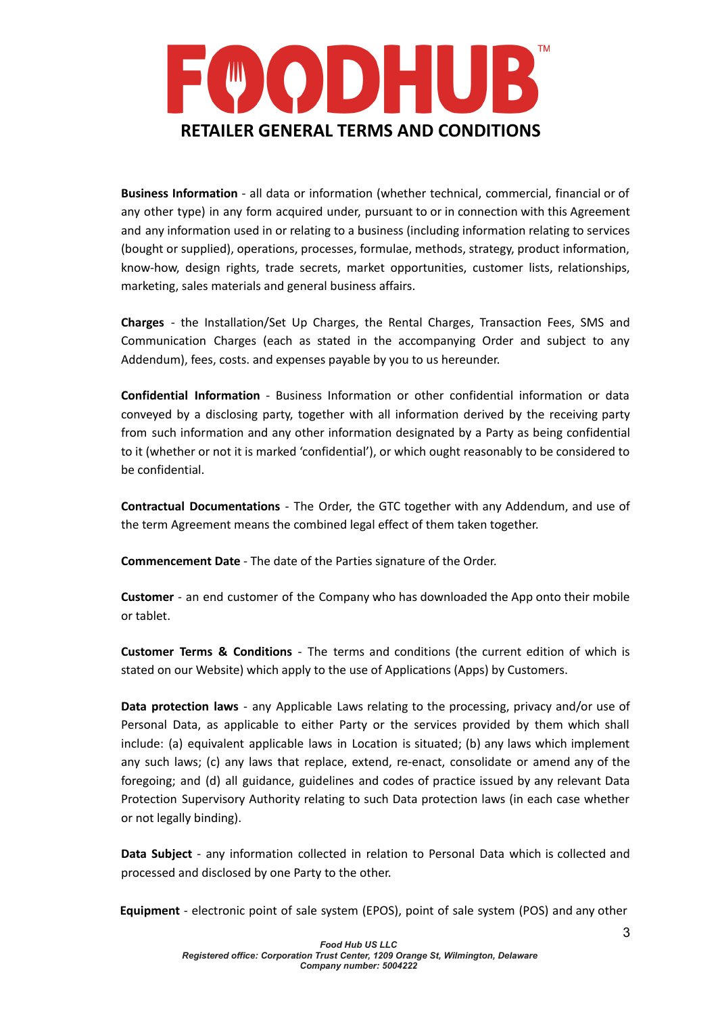

**Business Information** - all data or information (whether technical, commercial, financial or of any other type) in any form acquired under, pursuant to or in connection with this Agreement and any information used in or relating to a business (including information relating to services (bought or supplied), operations, processes, formulae, methods, strategy, product information, know-how, design rights, trade secrets, market opportunities, customer lists, relationships, marketing, sales materials and general business affairs.

**Charges** - the Installation/Set Up Charges, the Rental Charges, Transaction Fees, SMS and Communication Charges (each as stated in the accompanying Order and subject to any Addendum), fees, costs. and expenses payable by you to us hereunder.

**Confidential Information** - Business Information or other confidential information or data conveyed by a disclosing party, together with all information derived by the receiving party from such information and any other information designated by a Party as being confidential to it (whether or not it is marked 'confidential'), or which ought reasonably to be considered to be confidential.

**Contractual Documentations** - The Order, the GTC together with any Addendum, and use of the term Agreement means the combined legal effect of them taken together.

**Commencement Date** - The date of the Parties signature of the Order.

**Customer** - an end customer of the Company who has downloaded the App onto their mobile or tablet.

**Customer Terms & Conditions** - The terms and conditions (the current edition of which is stated on our Website) which apply to the use of Applications (Apps) by Customers.

**Data protection laws** - any Applicable Laws relating to the processing, privacy and/or use of Personal Data, as applicable to either Party or the services provided by them which shall include: (a) equivalent applicable laws in Location is situated; (b) any laws which implement any such laws; (c) any laws that replace, extend, re-enact, consolidate or amend any of the foregoing; and (d) all guidance, guidelines and codes of practice issued by any relevant Data Protection Supervisory Authority relating to such Data protection laws (in each case whether or not legally binding).

**Data Subject** - any information collected in relation to Personal Data which is collected and processed and disclosed by one Party to the other.

**Equipment** - electronic point of sale system (EPOS), point of sale system (POS) and any other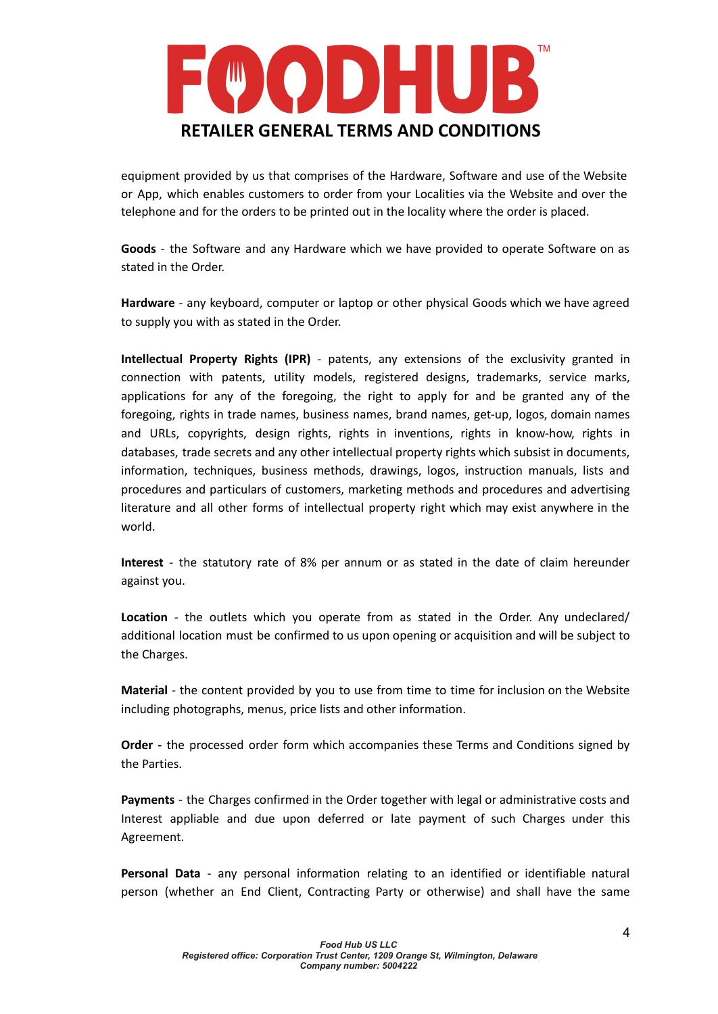

equipment provided by us that comprises of the Hardware, Software and use of the Website or App, which enables customers to order from your Localities via the Website and over the telephone and for the orders to be printed out in the locality where the order is placed.

**Goods** - the Software and any Hardware which we have provided to operate Software on as stated in the Order.

**Hardware** - any keyboard, computer or laptop or other physical Goods which we have agreed to supply you with as stated in the Order.

**Intellectual Property Rights (IPR)** - patents, any extensions of the exclusivity granted in connection with patents, utility models, registered designs, trademarks, service marks, applications for any of the foregoing, the right to apply for and be granted any of the foregoing, rights in trade names, business names, brand names, get-up, logos, domain names and URLs, copyrights, design rights, rights in inventions, rights in know-how, rights in databases, trade secrets and any other intellectual property rights which subsist in documents, information, techniques, business methods, drawings, logos, instruction manuals, lists and procedures and particulars of customers, marketing methods and procedures and advertising literature and all other forms of intellectual property right which may exist anywhere in the world.

**Interest** - the statutory rate of 8% per annum or as stated in the date of claim hereunder against you.

**Location** - the outlets which you operate from as stated in the Order. Any undeclared/ additional location must be confirmed to us upon opening or acquisition and will be subject to the Charges.

**Material** - the content provided by you to use from time to time for inclusion on the Website including photographs, menus, price lists and other information.

**Order -** the processed order form which accompanies these Terms and Conditions signed by the Parties.

**Payments** - the Charges confirmed in the Order together with legal or administrative costs and Interest appliable and due upon deferred or late payment of such Charges under this Agreement.

**Personal Data** - any personal information relating to an identified or identifiable natural person (whether an End Client, Contracting Party or otherwise) and shall have the same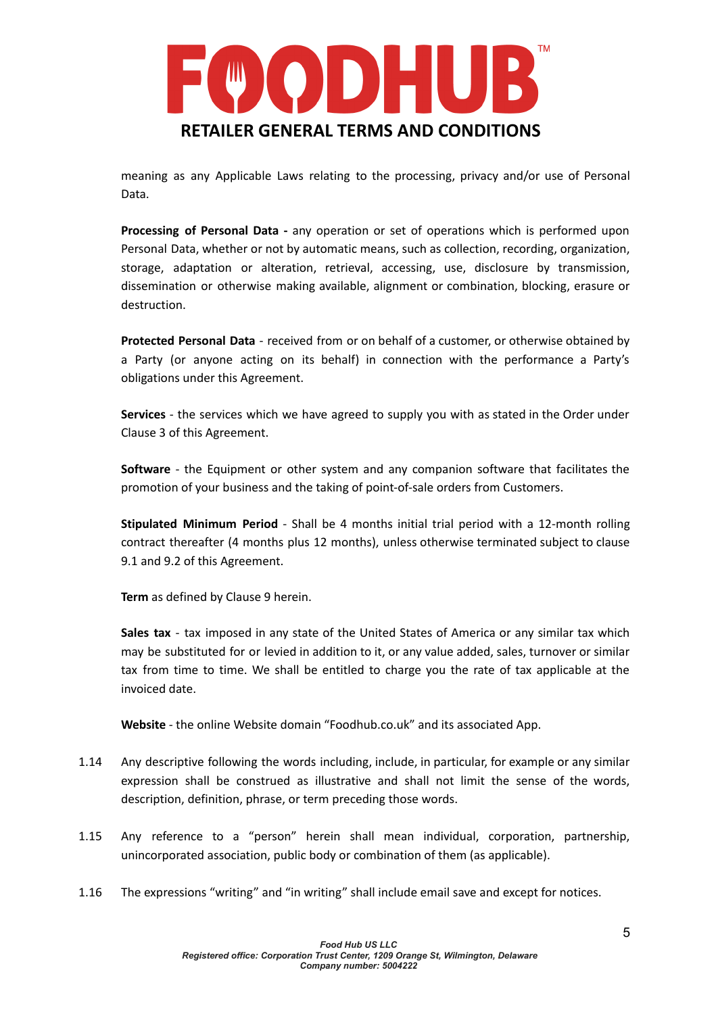

meaning as any Applicable Laws relating to the processing, privacy and/or use of Personal Data.

**Processing of Personal Data -** any operation or set of operations which is performed upon Personal Data, whether or not by automatic means, such as collection, recording, organization, storage, adaptation or alteration, retrieval, accessing, use, disclosure by transmission, dissemination or otherwise making available, alignment or combination, blocking, erasure or destruction.

**Protected Personal Data** - received from or on behalf of a customer, or otherwise obtained by a Party (or anyone acting on its behalf) in connection with the performance a Party's obligations under this Agreement.

**Services** - the services which we have agreed to supply you with as stated in the Order under Clause 3 of this Agreement.

**Software** - the Equipment or other system and any companion software that facilitates the promotion of your business and the taking of point-of-sale orders from Customers.

**Stipulated Minimum Period** - Shall be 4 months initial trial period with a 12-month rolling contract thereafter (4 months plus 12 months), unless otherwise terminated subject to clause 9.1 and 9.2 of this Agreement.

**Term** as defined by Clause 9 herein.

**Sales tax** - tax imposed in any state of the United States of America or any similar tax which may be substituted for or levied in addition to it, or any value added, sales, turnover or similar tax from time to time. We shall be entitled to charge you the rate of tax applicable at the invoiced date.

**Website** - the online Website domain "Foodhub.co.uk" and its associated App.

- 1.14 Any descriptive following the words including, include, in particular, for example or any similar expression shall be construed as illustrative and shall not limit the sense of the words, description, definition, phrase, or term preceding those words.
- 1.15 Any reference to a "person" herein shall mean individual, corporation, partnership, unincorporated association, public body or combination of them (as applicable).
- 1.16 The expressions "writing" and "in writing" shall include email save and except for notices.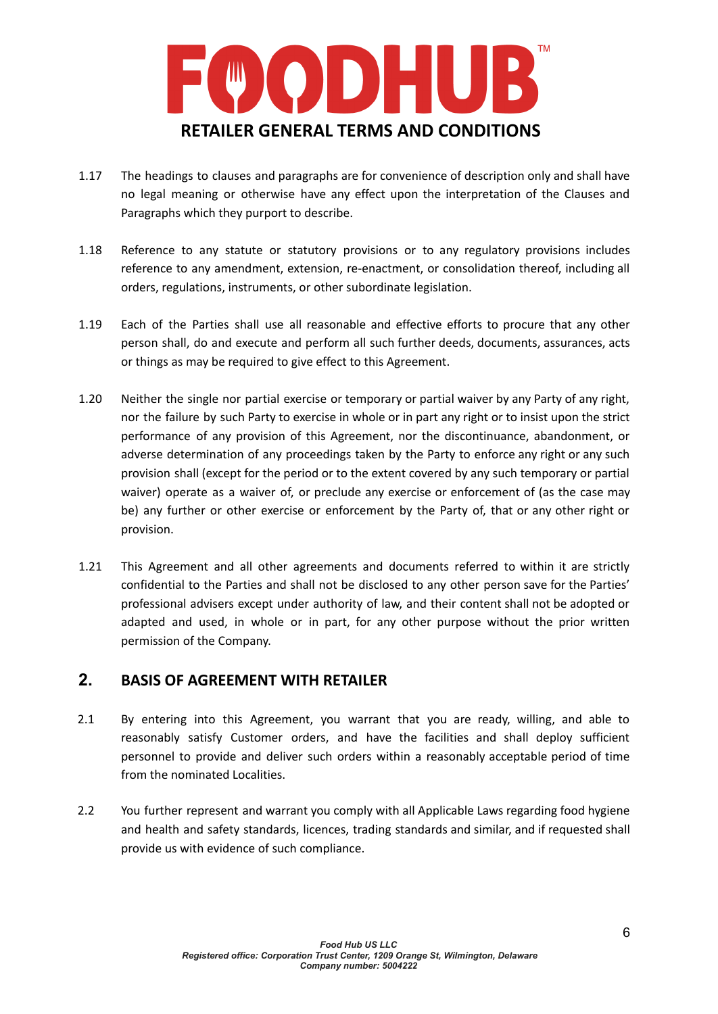

- 1.17 The headings to clauses and paragraphs are for convenience of description only and shall have no legal meaning or otherwise have any effect upon the interpretation of the Clauses and Paragraphs which they purport to describe.
- 1.18 Reference to any statute or statutory provisions or to any regulatory provisions includes reference to any amendment, extension, re-enactment, or consolidation thereof, including all orders, regulations, instruments, or other subordinate legislation.
- 1.19 Each of the Parties shall use all reasonable and effective efforts to procure that any other person shall, do and execute and perform all such further deeds, documents, assurances, acts or things as may be required to give effect to this Agreement.
- 1.20 Neither the single nor partial exercise or temporary or partial waiver by any Party of any right, nor the failure by such Party to exercise in whole or in part any right or to insist upon the strict performance of any provision of this Agreement, nor the discontinuance, abandonment, or adverse determination of any proceedings taken by the Party to enforce any right or any such provision shall (except for the period or to the extent covered by any such temporary or partial waiver) operate as a waiver of, or preclude any exercise or enforcement of (as the case may be) any further or other exercise or enforcement by the Party of, that or any other right or provision.
- 1.21 This Agreement and all other agreements and documents referred to within it are strictly confidential to the Parties and shall not be disclosed to any other person save for the Parties' professional advisers except under authority of law, and their content shall not be adopted or adapted and used, in whole or in part, for any other purpose without the prior written permission of the Company.

## **2. BASIS OF AGREEMENT WITH RETAILER**

- 2.1 By entering into this Agreement, you warrant that you are ready, willing, and able to reasonably satisfy Customer orders, and have the facilities and shall deploy sufficient personnel to provide and deliver such orders within a reasonably acceptable period of time from the nominated Localities.
- 2.2 You further represent and warrant you comply with all Applicable Laws regarding food hygiene and health and safety standards, licences, trading standards and similar, and if requested shall provide us with evidence of such compliance.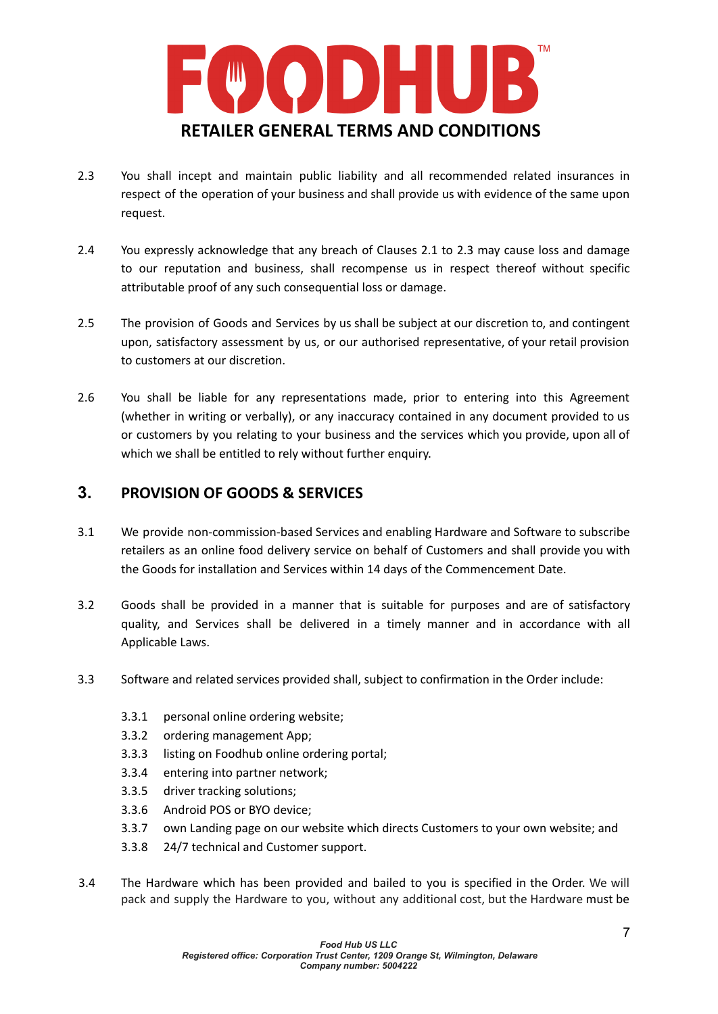

- 2.3 You shall incept and maintain public liability and all recommended related insurances in respect of the operation of your business and shall provide us with evidence of the same upon request.
- 2.4 You expressly acknowledge that any breach of Clauses 2.1 to 2.3 may cause loss and damage to our reputation and business, shall recompense us in respect thereof without specific attributable proof of any such consequential loss or damage.
- 2.5 The provision of Goods and Services by us shall be subject at our discretion to, and contingent upon, satisfactory assessment by us, or our authorised representative, of your retail provision to customers at our discretion.
- 2.6 You shall be liable for any representations made, prior to entering into this Agreement (whether in writing or verbally), or any inaccuracy contained in any document provided to us or customers by you relating to your business and the services which you provide, upon all of which we shall be entitled to rely without further enquiry.

## **3. PROVISION OF GOODS & SERVICES**

- 3.1 We provide non-commission-based Services and enabling Hardware and Software to subscribe retailers as an online food delivery service on behalf of Customers and shall provide you with the Goods for installation and Services within 14 days of the Commencement Date.
- 3.2 Goods shall be provided in a manner that is suitable for purposes and are of satisfactory quality, and Services shall be delivered in a timely manner and in accordance with all Applicable Laws.
- 3.3 Software and related services provided shall, subject to confirmation in the Order include:
	- 3.3.1 personal online ordering website;
	- 3.3.2 ordering management App;
	- 3.3.3 listing on Foodhub online ordering portal;
	- 3.3.4 entering into partner network;
	- 3.3.5 driver tracking solutions;
	- 3.3.6 Android POS or BYO device;
	- 3.3.7 own Landing page on our website which directs Customers to your own website; and
	- 3.3.8 24/7 technical and Customer support.
- 3.4 The Hardware which has been provided and bailed to you is specified in the Order. We will pack and supply the Hardware to you, without any additional cost, but the Hardware must be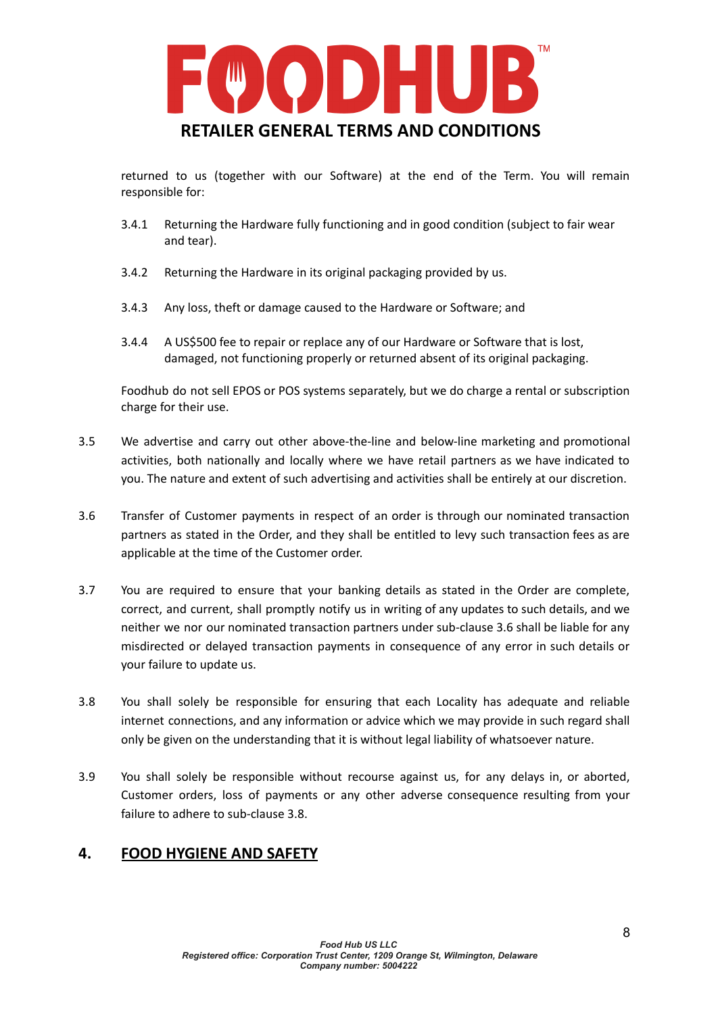

returned to us (together with our Software) at the end of the Term. You will remain responsible for:

- 3.4.1 Returning the Hardware fully functioning and in good condition (subject to fair wear and tear).
- 3.4.2 Returning the Hardware in its original packaging provided by us.
- 3.4.3 Any loss, theft or damage caused to the Hardware or Software; and
- 3.4.4 A US\$500 fee to repair or replace any of our Hardware or Software that is lost, damaged, not functioning properly or returned absent of its original packaging.

Foodhub do not sell EPOS or POS systems separately, but we do charge a rental or subscription charge for their use.

- 3.5 We advertise and carry out other above-the-line and below-line marketing and promotional activities, both nationally and locally where we have retail partners as we have indicated to you. The nature and extent of such advertising and activities shall be entirely at our discretion.
- 3.6 Transfer of Customer payments in respect of an order is through our nominated transaction partners as stated in the Order, and they shall be entitled to levy such transaction fees as are applicable at the time of the Customer order.
- 3.7 You are required to ensure that your banking details as stated in the Order are complete, correct, and current, shall promptly notify us in writing of any updates to such details, and we neither we nor our nominated transaction partners under sub-clause 3.6 shall be liable for any misdirected or delayed transaction payments in consequence of any error in such details or your failure to update us.
- 3.8 You shall solely be responsible for ensuring that each Locality has adequate and reliable internet connections, and any information or advice which we may provide in such regard shall only be given on the understanding that it is without legal liability of whatsoever nature.
- 3.9 You shall solely be responsible without recourse against us, for any delays in, or aborted, Customer orders, loss of payments or any other adverse consequence resulting from your failure to adhere to sub-clause 3.8.

### **4. FOOD HYGIENE AND SAFETY**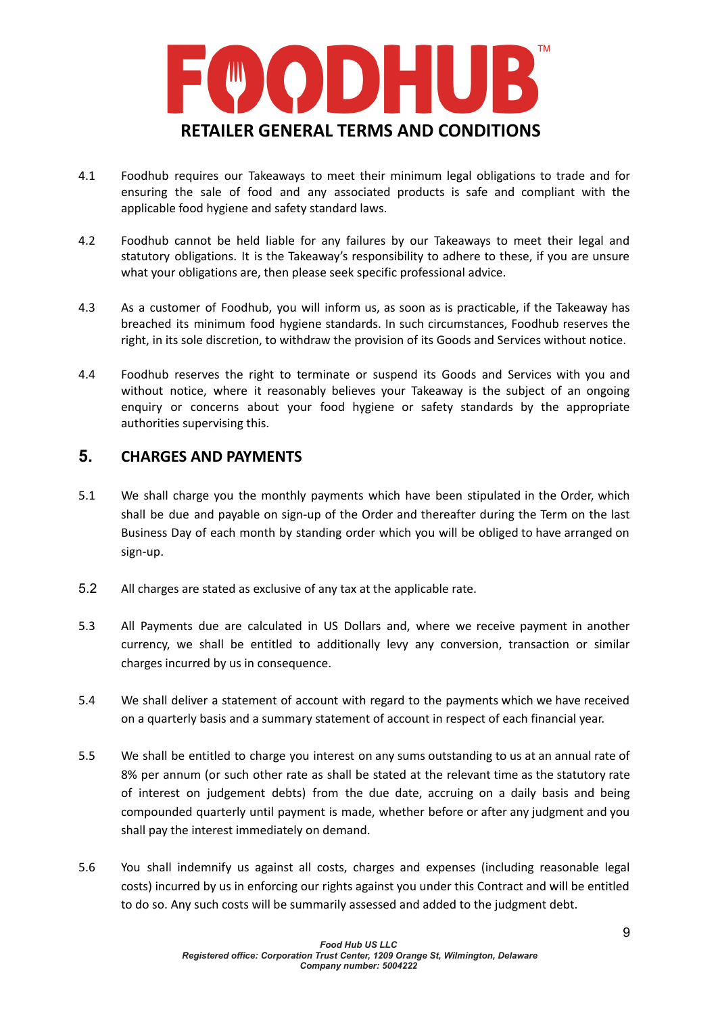

- 4.1 Foodhub requires our Takeaways to meet their minimum legal obligations to trade and for ensuring the sale of food and any associated products is safe and compliant with the applicable food hygiene and safety standard laws.
- 4.2 Foodhub cannot be held liable for any failures by our Takeaways to meet their legal and statutory obligations. It is the Takeaway's responsibility to adhere to these, if you are unsure what your obligations are, then please seek specific professional advice.
- 4.3 As a customer of Foodhub, you will inform us, as soon as is practicable, if the Takeaway has breached its minimum food hygiene standards. In such circumstances, Foodhub reserves the right, in its sole discretion, to withdraw the provision of its Goods and Services without notice.
- 4.4 Foodhub reserves the right to terminate or suspend its Goods and Services with you and without notice, where it reasonably believes your Takeaway is the subject of an ongoing enquiry or concerns about your food hygiene or safety standards by the appropriate authorities supervising this.

### **5. CHARGES AND PAYMENTS**

- 5.1 We shall charge you the monthly payments which have been stipulated in the Order, which shall be due and payable on sign-up of the Order and thereafter during the Term on the last Business Day of each month by standing order which you will be obliged to have arranged on sign-up.
- 5.2 All charges are stated as exclusive of any tax at the applicable rate.
- 5.3 All Payments due are calculated in US Dollars and, where we receive payment in another currency, we shall be entitled to additionally levy any conversion, transaction or similar charges incurred by us in consequence.
- 5.4 We shall deliver a statement of account with regard to the payments which we have received on a quarterly basis and a summary statement of account in respect of each financial year.
- 5.5 We shall be entitled to charge you interest on any sums outstanding to us at an annual rate of 8% per annum (or such other rate as shall be stated at the relevant time as the statutory rate of interest on judgement debts) from the due date, accruing on a daily basis and being compounded quarterly until payment is made, whether before or after any judgment and you shall pay the interest immediately on demand.
- 5.6 You shall indemnify us against all costs, charges and expenses (including reasonable legal costs) incurred by us in enforcing our rights against you under this Contract and will be entitled to do so. Any such costs will be summarily assessed and added to the judgment debt.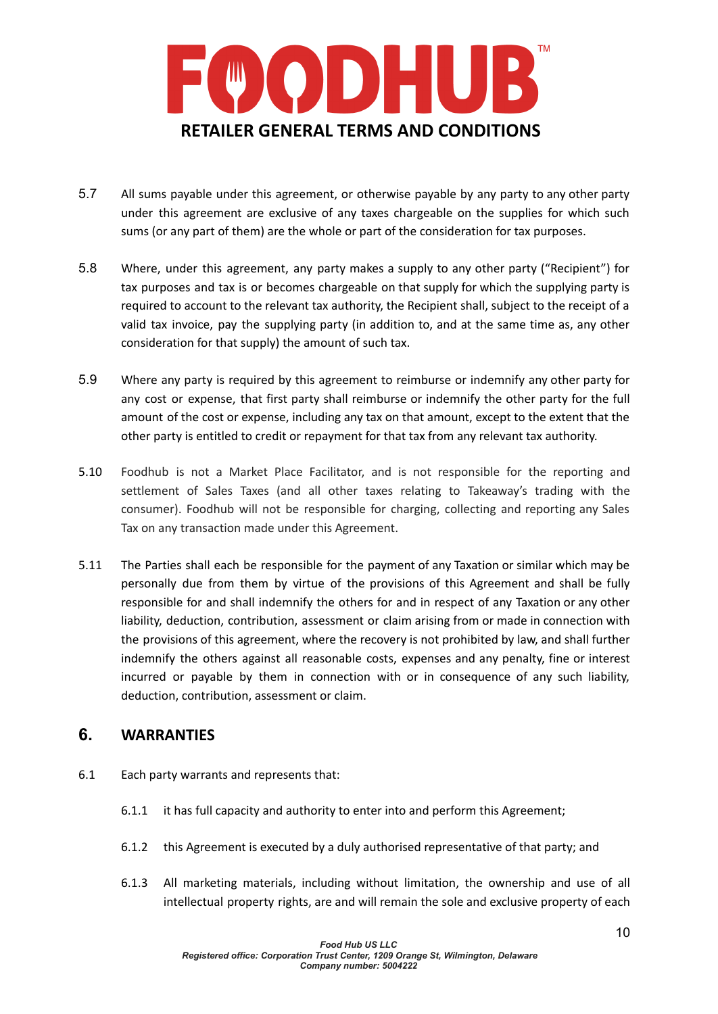

- 5.7 All sums payable under this agreement, or otherwise payable by any party to any other party under this agreement are exclusive of any taxes chargeable on the supplies for which such sums (or any part of them) are the whole or part of the consideration for tax purposes.
- 5.8 Where, under this agreement, any party makes a supply to any other party ("Recipient") for tax purposes and tax is or becomes chargeable on that supply for which the supplying party is required to account to the relevant tax authority, the Recipient shall, subject to the receipt of a valid tax invoice, pay the supplying party (in addition to, and at the same time as, any other consideration for that supply) the amount of such tax.
- 5.9 Where any party is required by this agreement to reimburse or indemnify any other party for any cost or expense, that first party shall reimburse or indemnify the other party for the full amount of the cost or expense, including any tax on that amount, except to the extent that the other party is entitled to credit or repayment for that tax from any relevant tax authority.
- 5.10 Foodhub is not a Market Place Facilitator, and is not responsible for the reporting and settlement of Sales Taxes (and all other taxes relating to Takeaway's trading with the consumer). Foodhub will not be responsible for charging, collecting and reporting any Sales Tax on any transaction made under this Agreement.
- 5.11 The Parties shall each be responsible for the payment of any Taxation or similar which may be personally due from them by virtue of the provisions of this Agreement and shall be fully responsible for and shall indemnify the others for and in respect of any Taxation or any other liability, deduction, contribution, assessment or claim arising from or made in connection with the provisions of this agreement, where the recovery is not prohibited by law, and shall further indemnify the others against all reasonable costs, expenses and any penalty, fine or interest incurred or payable by them in connection with or in consequence of any such liability, deduction, contribution, assessment or claim.

## **6. WARRANTIES**

- 6.1 Each party warrants and represents that:
	- 6.1.1 it has full capacity and authority to enter into and perform this Agreement;
	- 6.1.2 this Agreement is executed by a duly authorised representative of that party; and
	- 6.1.3 All marketing materials, including without limitation, the ownership and use of all intellectual property rights, are and will remain the sole and exclusive property of each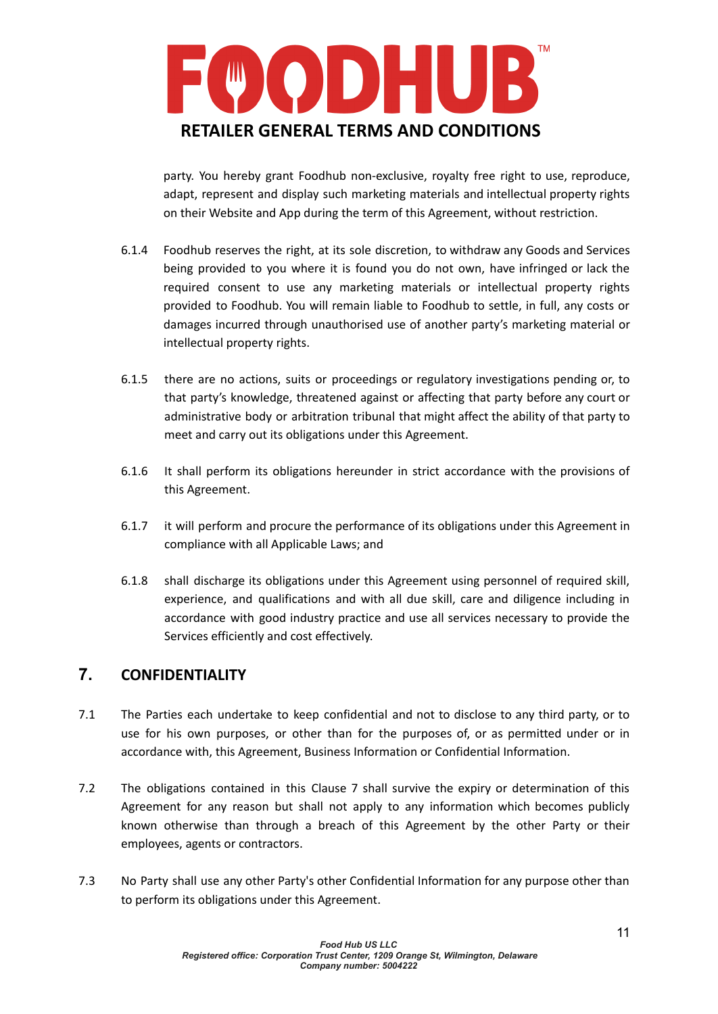

party. You hereby grant Foodhub non-exclusive, royalty free right to use, reproduce, adapt, represent and display such marketing materials and intellectual property rights on their Website and App during the term of this Agreement, without restriction.

- 6.1.4 Foodhub reserves the right, at its sole discretion, to withdraw any Goods and Services being provided to you where it is found you do not own, have infringed or lack the required consent to use any marketing materials or intellectual property rights provided to Foodhub. You will remain liable to Foodhub to settle, in full, any costs or damages incurred through unauthorised use of another party's marketing material or intellectual property rights.
- 6.1.5 there are no actions, suits or proceedings or regulatory investigations pending or, to that party's knowledge, threatened against or affecting that party before any court or administrative body or arbitration tribunal that might affect the ability of that party to meet and carry out its obligations under this Agreement.
- 6.1.6 It shall perform its obligations hereunder in strict accordance with the provisions of this Agreement.
- 6.1.7 it will perform and procure the performance of its obligations under this Agreement in compliance with all Applicable Laws; and
- 6.1.8 shall discharge its obligations under this Agreement using personnel of required skill, experience, and qualifications and with all due skill, care and diligence including in accordance with good industry practice and use all services necessary to provide the Services efficiently and cost effectively.

# **7. CONFIDENTIALITY**

- 7.1 The Parties each undertake to keep confidential and not to disclose to any third party, or to use for his own purposes, or other than for the purposes of, or as permitted under or in accordance with, this Agreement, Business Information or Confidential Information.
- 7.2 The obligations contained in this Clause 7 shall survive the expiry or determination of this Agreement for any reason but shall not apply to any information which becomes publicly known otherwise than through a breach of this Agreement by the other Party or their employees, agents or contractors.
- 7.3 No Party shall use any other Party's other Confidential Information for any purpose other than to perform its obligations under this Agreement.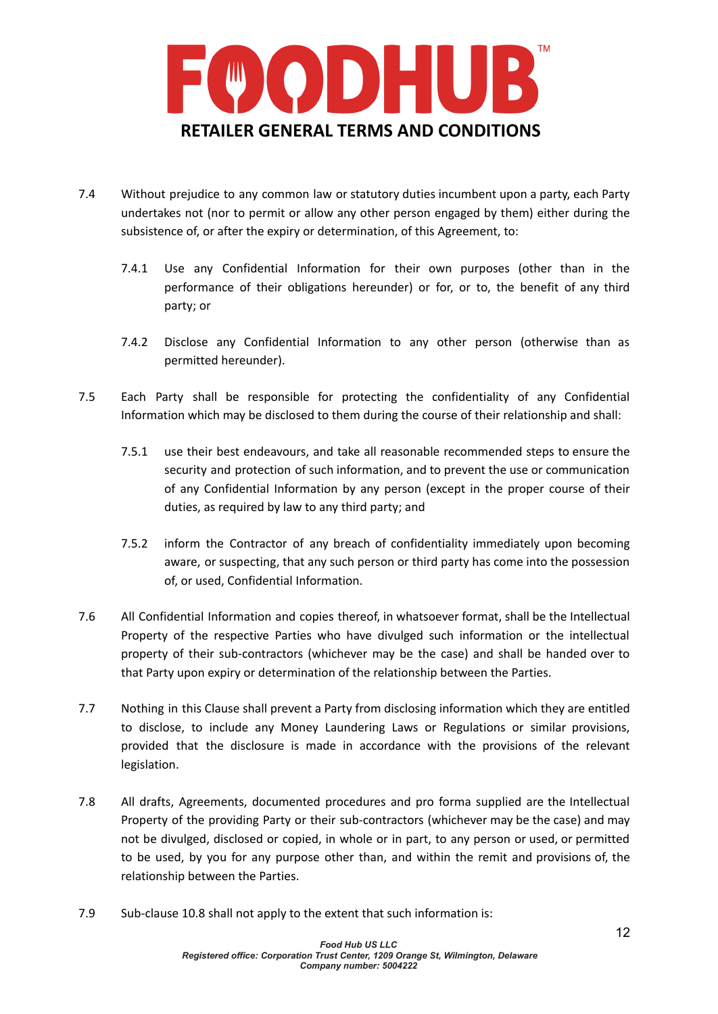

- 7.4 Without prejudice to any common law or statutory duties incumbent upon a party, each Party undertakes not (nor to permit or allow any other person engaged by them) either during the subsistence of, or after the expiry or determination, of this Agreement, to:
	- 7.4.1 Use any Confidential Information for their own purposes (other than in the performance of their obligations hereunder) or for, or to, the benefit of any third party; or
	- 7.4.2 Disclose any Confidential Information to any other person (otherwise than as permitted hereunder).
- 7.5 Each Party shall be responsible for protecting the confidentiality of any Confidential Information which may be disclosed to them during the course of their relationship and shall:
	- 7.5.1 use their best endeavours, and take all reasonable recommended steps to ensure the security and protection of such information, and to prevent the use or communication of any Confidential Information by any person (except in the proper course of their duties, as required by law to any third party; and
	- 7.5.2 inform the Contractor of any breach of confidentiality immediately upon becoming aware, or suspecting, that any such person or third party has come into the possession of, or used, Confidential Information.
- 7.6 All Confidential Information and copies thereof, in whatsoever format, shall be the Intellectual Property of the respective Parties who have divulged such information or the intellectual property of their sub-contractors (whichever may be the case) and shall be handed over to that Party upon expiry or determination of the relationship between the Parties.
- 7.7 Nothing in this Clause shall prevent a Party from disclosing information which they are entitled to disclose, to include any Money Laundering Laws or Regulations or similar provisions, provided that the disclosure is made in accordance with the provisions of the relevant legislation.
- 7.8 All drafts, Agreements, documented procedures and pro forma supplied are the Intellectual Property of the providing Party or their sub-contractors (whichever may be the case) and may not be divulged, disclosed or copied, in whole or in part, to any person or used, or permitted to be used, by you for any purpose other than, and within the remit and provisions of, the relationship between the Parties.
- 7.9 Sub-clause 10.8 shall not apply to the extent that such information is: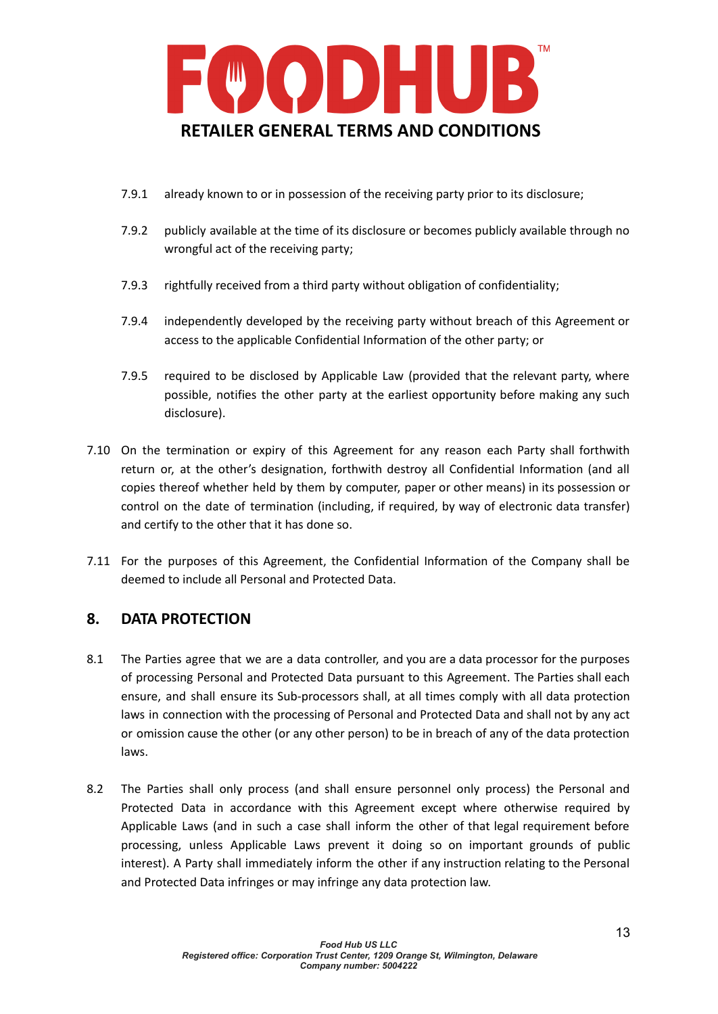

- 7.9.1 already known to or in possession of the receiving party prior to its disclosure;
- 7.9.2 publicly available at the time of its disclosure or becomes publicly available through no wrongful act of the receiving party;
- 7.9.3 rightfully received from a third party without obligation of confidentiality;
- 7.9.4 independently developed by the receiving party without breach of this Agreement or access to the applicable Confidential Information of the other party; or
- 7.9.5 required to be disclosed by Applicable Law (provided that the relevant party, where possible, notifies the other party at the earliest opportunity before making any such disclosure).
- 7.10 On the termination or expiry of this Agreement for any reason each Party shall forthwith return or, at the other's designation, forthwith destroy all Confidential Information (and all copies thereof whether held by them by computer, paper or other means) in its possession or control on the date of termination (including, if required, by way of electronic data transfer) and certify to the other that it has done so.
- 7.11 For the purposes of this Agreement, the Confidential Information of the Company shall be deemed to include all Personal and Protected Data.

# **8. DATA PROTECTION**

- 8.1 The Parties agree that we are a data controller, and you are a data processor for the purposes of processing Personal and Protected Data pursuant to this Agreement. The Parties shall each ensure, and shall ensure its Sub-processors shall, at all times comply with all data protection laws in connection with the processing of Personal and Protected Data and shall not by any act or omission cause the other (or any other person) to be in breach of any of the data protection laws.
- 8.2 The Parties shall only process (and shall ensure personnel only process) the Personal and Protected Data in accordance with this Agreement except where otherwise required by Applicable Laws (and in such a case shall inform the other of that legal requirement before processing, unless Applicable Laws prevent it doing so on important grounds of public interest). A Party shall immediately inform the other if any instruction relating to the Personal and Protected Data infringes or may infringe any data protection law.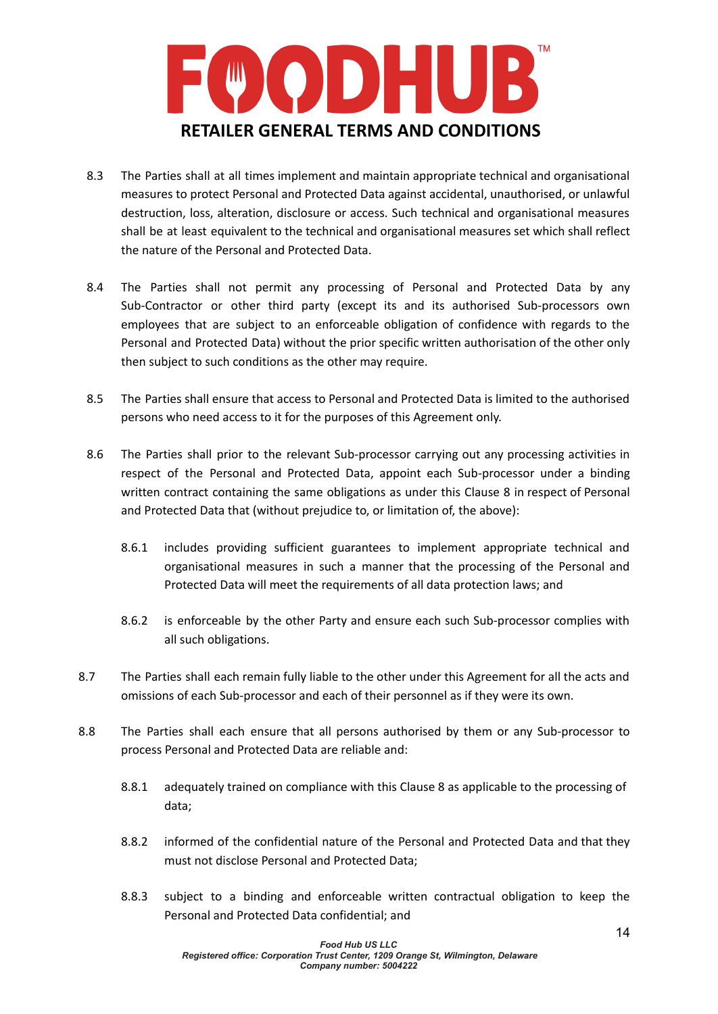

- 8.3 The Parties shall at all times implement and maintain appropriate technical and organisational measures to protect Personal and Protected Data against accidental, unauthorised, or unlawful destruction, loss, alteration, disclosure or access. Such technical and organisational measures shall be at least equivalent to the technical and organisational measures set which shall reflect the nature of the Personal and Protected Data.
- 8.4 The Parties shall not permit any processing of Personal and Protected Data by any Sub-Contractor or other third party (except its and its authorised Sub-processors own employees that are subject to an enforceable obligation of confidence with regards to the Personal and Protected Data) without the prior specific written authorisation of the other only then subject to such conditions as the other may require.
- 8.5 The Parties shall ensure that access to Personal and Protected Data is limited to the authorised persons who need access to it for the purposes of this Agreement only.
- 8.6 The Parties shall prior to the relevant Sub-processor carrying out any processing activities in respect of the Personal and Protected Data, appoint each Sub-processor under a binding written contract containing the same obligations as under this Clause 8 in respect of Personal and Protected Data that (without prejudice to, or limitation of, the above):
	- 8.6.1 includes providing sufficient guarantees to implement appropriate technical and organisational measures in such a manner that the processing of the Personal and Protected Data will meet the requirements of all data protection laws; and
	- 8.6.2 is enforceable by the other Party and ensure each such Sub-processor complies with all such obligations.
- 8.7 The Parties shall each remain fully liable to the other under this Agreement for all the acts and omissions of each Sub-processor and each of their personnel as if they were its own.
- 8.8 The Parties shall each ensure that all persons authorised by them or any Sub-processor to process Personal and Protected Data are reliable and:
	- 8.8.1 adequately trained on compliance with this Clause 8 as applicable to the processing of data;
	- 8.8.2 informed of the confidential nature of the Personal and Protected Data and that they must not disclose Personal and Protected Data;
	- 8.8.3 subject to a binding and enforceable written contractual obligation to keep the Personal and Protected Data confidential; and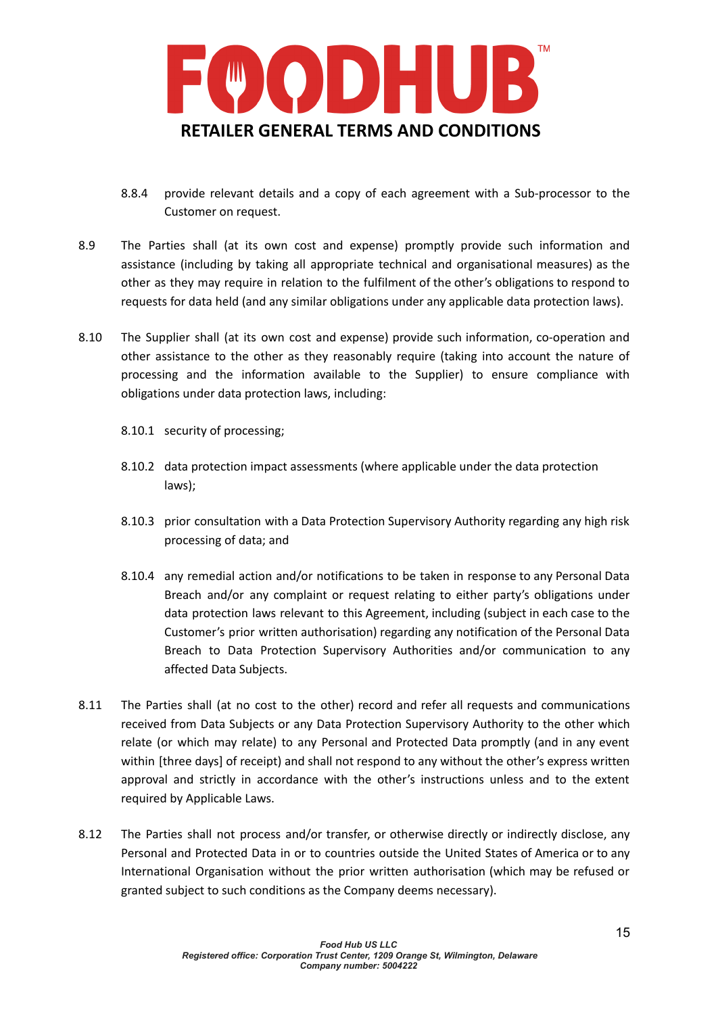

- 8.8.4 provide relevant details and a copy of each agreement with a Sub-processor to the Customer on request.
- 8.9 The Parties shall (at its own cost and expense) promptly provide such information and assistance (including by taking all appropriate technical and organisational measures) as the other as they may require in relation to the fulfilment of the other's obligations to respond to requests for data held (and any similar obligations under any applicable data protection laws).
- 8.10 The Supplier shall (at its own cost and expense) provide such information, co-operation and other assistance to the other as they reasonably require (taking into account the nature of processing and the information available to the Supplier) to ensure compliance with obligations under data protection laws, including:
	- 8.10.1 security of processing;
	- 8.10.2 data protection impact assessments (where applicable under the data protection laws);
	- 8.10.3 prior consultation with a Data Protection Supervisory Authority regarding any high risk processing of data; and
	- 8.10.4 any remedial action and/or notifications to be taken in response to any Personal Data Breach and/or any complaint or request relating to either party's obligations under data protection laws relevant to this Agreement, including (subject in each case to the Customer's prior written authorisation) regarding any notification of the Personal Data Breach to Data Protection Supervisory Authorities and/or communication to any affected Data Subjects.
- 8.11 The Parties shall (at no cost to the other) record and refer all requests and communications received from Data Subjects or any Data Protection Supervisory Authority to the other which relate (or which may relate) to any Personal and Protected Data promptly (and in any event within [three days] of receipt) and shall not respond to any without the other's express written approval and strictly in accordance with the other's instructions unless and to the extent required by Applicable Laws.
- 8.12 The Parties shall not process and/or transfer, or otherwise directly or indirectly disclose, any Personal and Protected Data in or to countries outside the United States of America or to any International Organisation without the prior written authorisation (which may be refused or granted subject to such conditions as the Company deems necessary).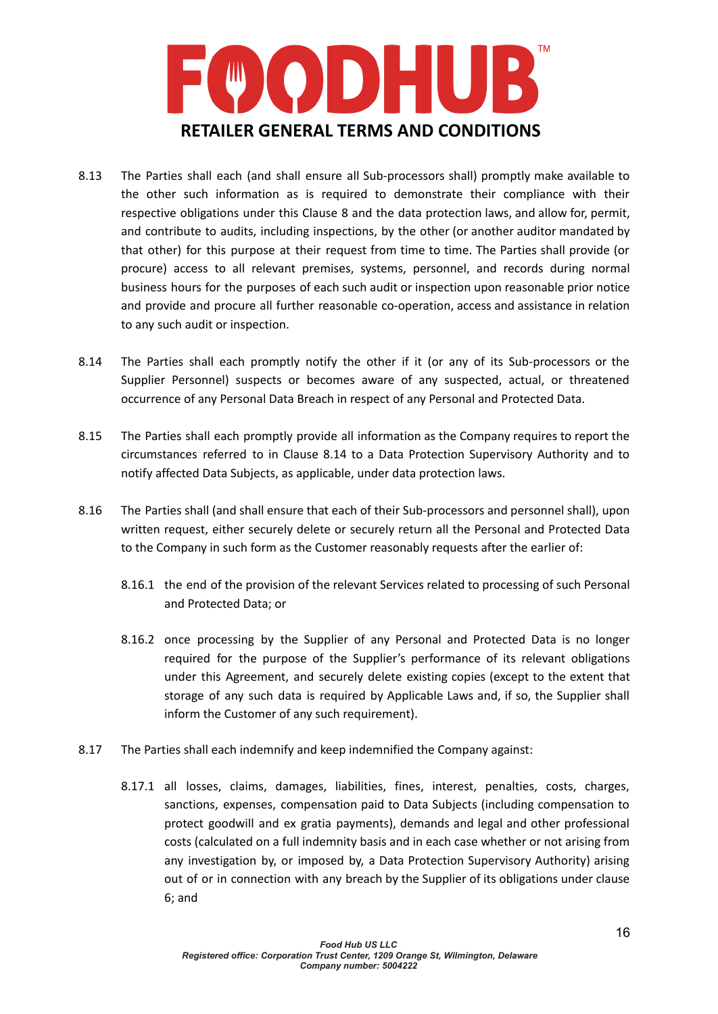

- 8.13 The Parties shall each (and shall ensure all Sub-processors shall) promptly make available to the other such information as is required to demonstrate their compliance with their respective obligations under this Clause 8 and the data protection laws, and allow for, permit, and contribute to audits, including inspections, by the other (or another auditor mandated by that other) for this purpose at their request from time to time. The Parties shall provide (or procure) access to all relevant premises, systems, personnel, and records during normal business hours for the purposes of each such audit or inspection upon reasonable prior notice and provide and procure all further reasonable co-operation, access and assistance in relation to any such audit or inspection.
- 8.14 The Parties shall each promptly notify the other if it (or any of its Sub-processors or the Supplier Personnel) suspects or becomes aware of any suspected, actual, or threatened occurrence of any Personal Data Breach in respect of any Personal and Protected Data.
- 8.15 The Parties shall each promptly provide all information as the Company requires to report the circumstances referred to in Clause 8.14 to a Data Protection Supervisory Authority and to notify affected Data Subjects, as applicable, under data protection laws.
- 8.16 The Parties shall (and shall ensure that each of their Sub-processors and personnel shall), upon written request, either securely delete or securely return all the Personal and Protected Data to the Company in such form as the Customer reasonably requests after the earlier of:
	- 8.16.1 the end of the provision of the relevant Services related to processing of such Personal and Protected Data; or
	- 8.16.2 once processing by the Supplier of any Personal and Protected Data is no longer required for the purpose of the Supplier's performance of its relevant obligations under this Agreement, and securely delete existing copies (except to the extent that storage of any such data is required by Applicable Laws and, if so, the Supplier shall inform the Customer of any such requirement).
- 8.17 The Parties shall each indemnify and keep indemnified the Company against:
	- 8.17.1 all losses, claims, damages, liabilities, fines, interest, penalties, costs, charges, sanctions, expenses, compensation paid to Data Subjects (including compensation to protect goodwill and ex gratia payments), demands and legal and other professional costs (calculated on a full indemnity basis and in each case whether or not arising from any investigation by, or imposed by, a Data Protection Supervisory Authority) arising out of or in connection with any breach by the Supplier of its obligations under clause 6; and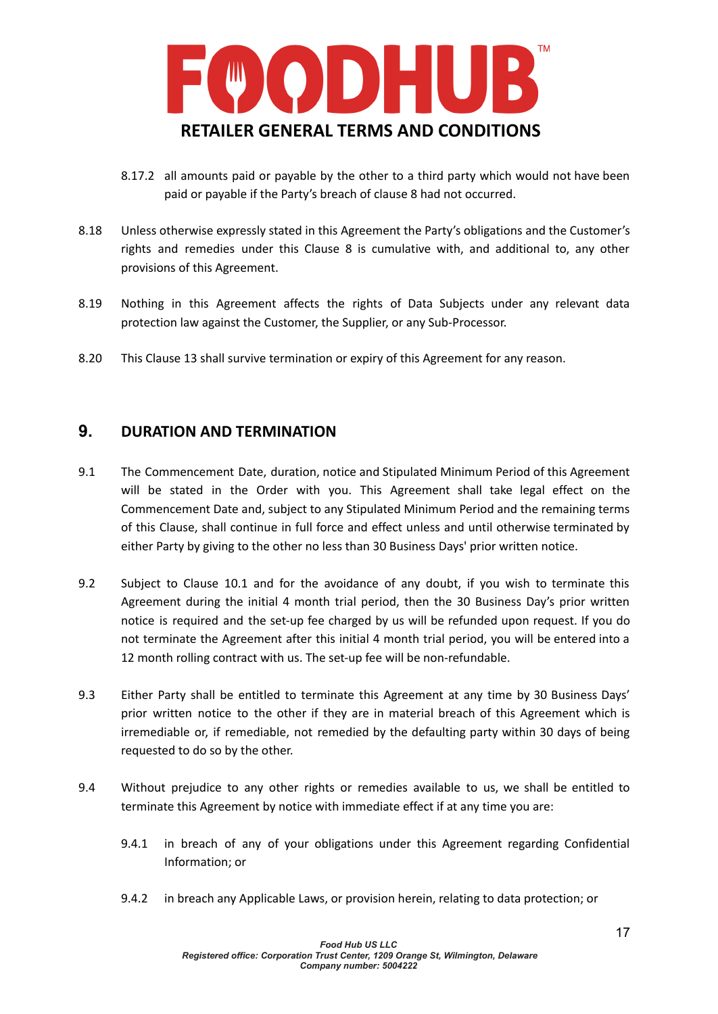

- 8.17.2 all amounts paid or payable by the other to a third party which would not have been paid or payable if the Party's breach of clause 8 had not occurred.
- 8.18 Unless otherwise expressly stated in this Agreement the Party's obligations and the Customer's rights and remedies under this Clause 8 is cumulative with, and additional to, any other provisions of this Agreement.
- 8.19 Nothing in this Agreement affects the rights of Data Subjects under any relevant data protection law against the Customer, the Supplier, or any Sub-Processor.
- 8.20 This Clause 13 shall survive termination or expiry of this Agreement for any reason.

### **9. DURATION AND TERMINATION**

- 9.1 The Commencement Date, duration, notice and Stipulated Minimum Period of this Agreement will be stated in the Order with you. This Agreement shall take legal effect on the Commencement Date and, subject to any Stipulated Minimum Period and the remaining terms of this Clause, shall continue in full force and effect unless and until otherwise terminated by either Party by giving to the other no less than 30 Business Days' prior written notice.
- 9.2 Subject to Clause 10.1 and for the avoidance of any doubt, if you wish to terminate this Agreement during the initial 4 month trial period, then the 30 Business Day's prior written notice is required and the set-up fee charged by us will be refunded upon request. If you do not terminate the Agreement after this initial 4 month trial period, you will be entered into a 12 month rolling contract with us. The set-up fee will be non-refundable.
- 9.3 Either Party shall be entitled to terminate this Agreement at any time by 30 Business Days' prior written notice to the other if they are in material breach of this Agreement which is irremediable or, if remediable, not remedied by the defaulting party within 30 days of being requested to do so by the other.
- 9.4 Without prejudice to any other rights or remedies available to us, we shall be entitled to terminate this Agreement by notice with immediate effect if at any time you are:
	- 9.4.1 in breach of any of your obligations under this Agreement regarding Confidential Information; or
	- 9.4.2 in breach any Applicable Laws, or provision herein, relating to data protection; or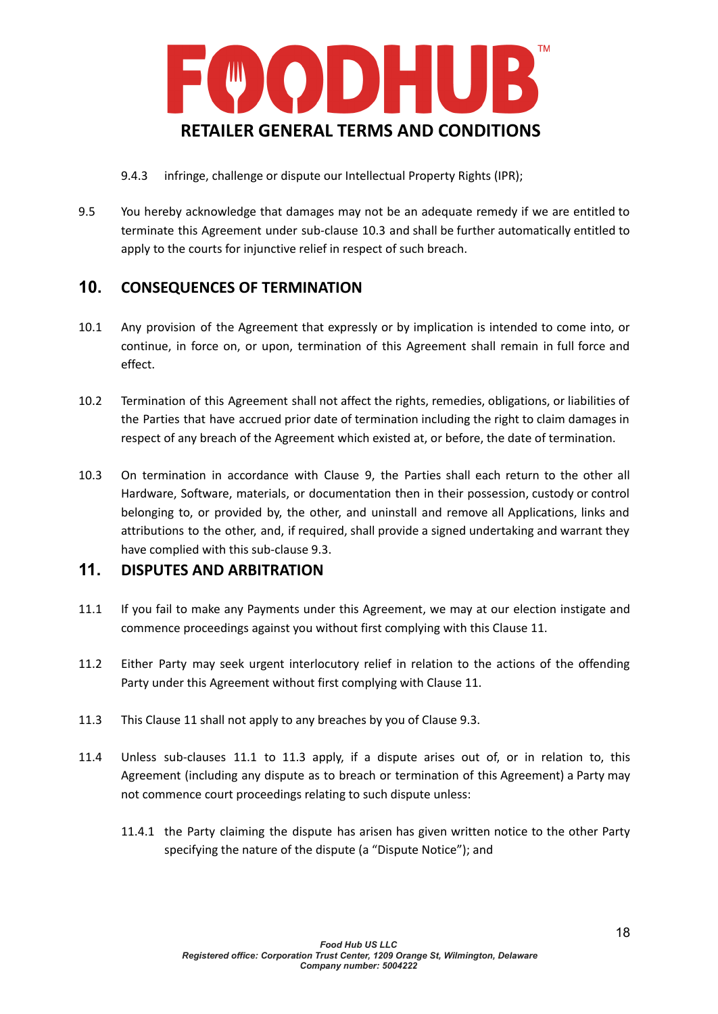

9.4.3 infringe, challenge or dispute our Intellectual Property Rights (IPR);

9.5 You hereby acknowledge that damages may not be an adequate remedy if we are entitled to terminate this Agreement under sub-clause 10.3 and shall be further automatically entitled to apply to the courts for injunctive relief in respect of such breach.

# **10. CONSEQUENCES OF TERMINATION**

- 10.1 Any provision of the Agreement that expressly or by implication is intended to come into, or continue, in force on, or upon, termination of this Agreement shall remain in full force and effect.
- 10.2 Termination of this Agreement shall not affect the rights, remedies, obligations, or liabilities of the Parties that have accrued prior date of termination including the right to claim damages in respect of any breach of the Agreement which existed at, or before, the date of termination.
- 10.3 On termination in accordance with Clause 9, the Parties shall each return to the other all Hardware, Software, materials, or documentation then in their possession, custody or control belonging to, or provided by, the other, and uninstall and remove all Applications, links and attributions to the other, and, if required, shall provide a signed undertaking and warrant they have complied with this sub-clause 9.3.

## **11. DISPUTES AND ARBITRATION**

- 11.1 If you fail to make any Payments under this Agreement, we may at our election instigate and commence proceedings against you without first complying with this Clause 11.
- 11.2 Either Party may seek urgent interlocutory relief in relation to the actions of the offending Party under this Agreement without first complying with Clause 11.
- 11.3 This Clause 11 shall not apply to any breaches by you of Clause 9.3.
- 11.4 Unless sub-clauses 11.1 to 11.3 apply, if a dispute arises out of, or in relation to, this Agreement (including any dispute as to breach or termination of this Agreement) a Party may not commence court proceedings relating to such dispute unless:
	- 11.4.1 the Party claiming the dispute has arisen has given written notice to the other Party specifying the nature of the dispute (a "Dispute Notice"); and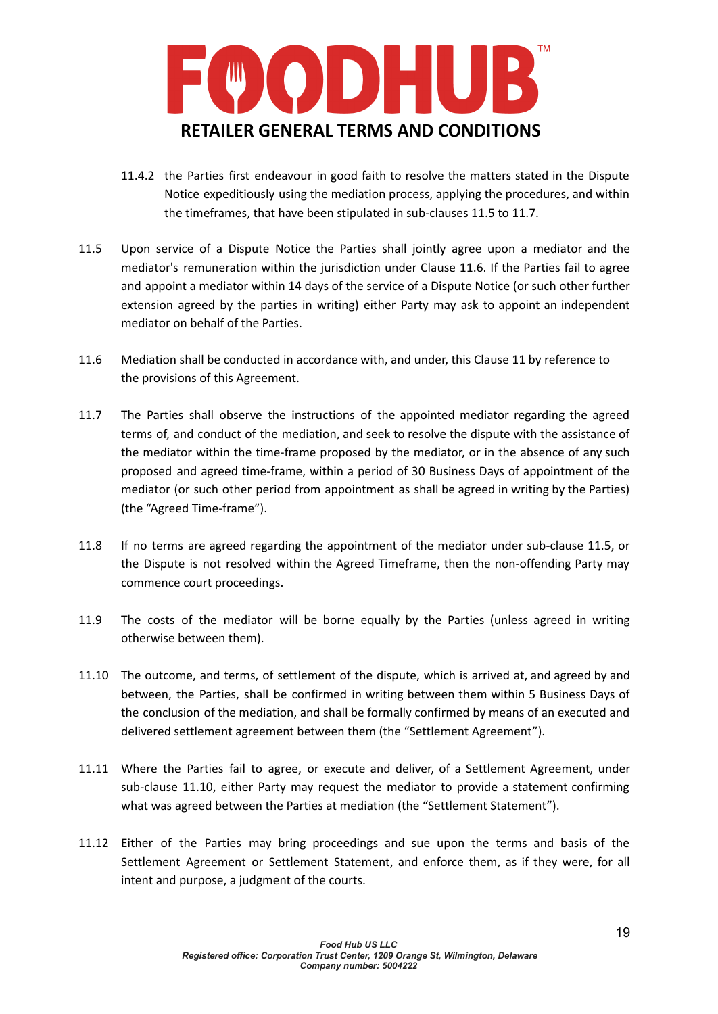

- 11.4.2 the Parties first endeavour in good faith to resolve the matters stated in the Dispute Notice expeditiously using the mediation process, applying the procedures, and within the timeframes, that have been stipulated in sub-clauses 11.5 to 11.7.
- 11.5 Upon service of a Dispute Notice the Parties shall jointly agree upon a mediator and the mediator's remuneration within the jurisdiction under Clause 11.6. If the Parties fail to agree and appoint a mediator within 14 days of the service of a Dispute Notice (or such other further extension agreed by the parties in writing) either Party may ask to appoint an independent mediator on behalf of the Parties.
- 11.6 Mediation shall be conducted in accordance with, and under, this Clause 11 by reference to the provisions of this Agreement.
- 11.7 The Parties shall observe the instructions of the appointed mediator regarding the agreed terms of, and conduct of the mediation, and seek to resolve the dispute with the assistance of the mediator within the time-frame proposed by the mediator, or in the absence of any such proposed and agreed time-frame, within a period of 30 Business Days of appointment of the mediator (or such other period from appointment as shall be agreed in writing by the Parties) (the "Agreed Time-frame").
- 11.8 If no terms are agreed regarding the appointment of the mediator under sub-clause 11.5, or the Dispute is not resolved within the Agreed Timeframe, then the non-offending Party may commence court proceedings.
- 11.9 The costs of the mediator will be borne equally by the Parties (unless agreed in writing otherwise between them).
- 11.10 The outcome, and terms, of settlement of the dispute, which is arrived at, and agreed by and between, the Parties, shall be confirmed in writing between them within 5 Business Days of the conclusion of the mediation, and shall be formally confirmed by means of an executed and delivered settlement agreement between them (the "Settlement Agreement").
- 11.11 Where the Parties fail to agree, or execute and deliver, of a Settlement Agreement, under sub-clause 11.10, either Party may request the mediator to provide a statement confirming what was agreed between the Parties at mediation (the "Settlement Statement").
- 11.12 Either of the Parties may bring proceedings and sue upon the terms and basis of the Settlement Agreement or Settlement Statement, and enforce them, as if they were, for all intent and purpose, a judgment of the courts.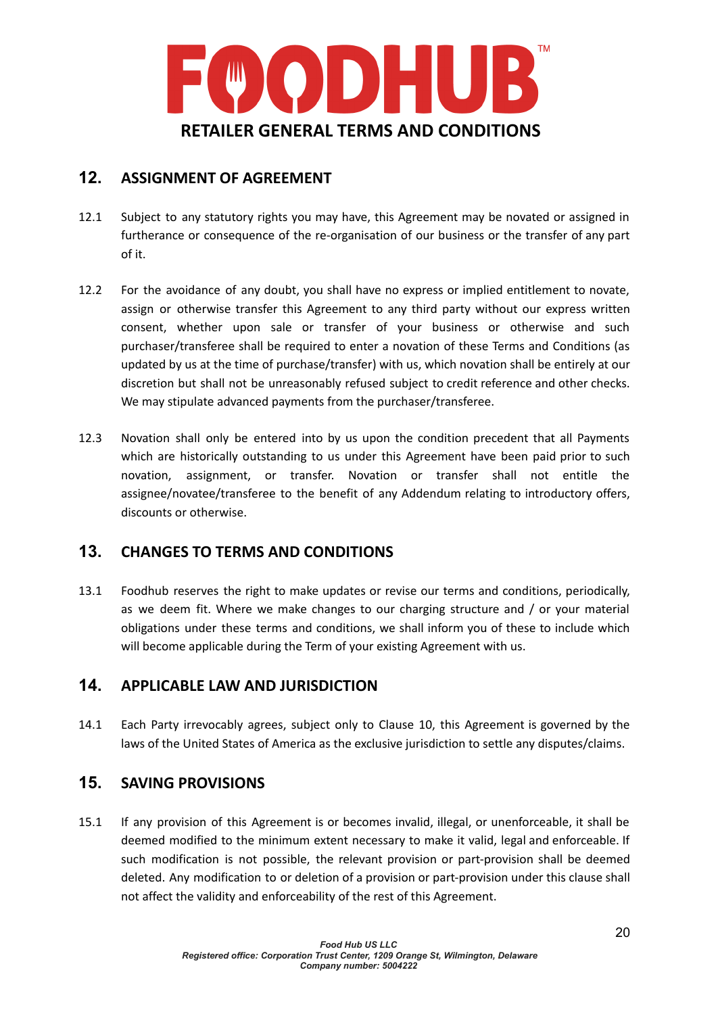

# **12. ASSIGNMENT OF AGREEMENT**

- 12.1 Subject to any statutory rights you may have, this Agreement may be novated or assigned in furtherance or consequence of the re-organisation of our business or the transfer of any part of it.
- 12.2 For the avoidance of any doubt, you shall have no express or implied entitlement to novate, assign or otherwise transfer this Agreement to any third party without our express written consent, whether upon sale or transfer of your business or otherwise and such purchaser/transferee shall be required to enter a novation of these Terms and Conditions (as updated by us at the time of purchase/transfer) with us, which novation shall be entirely at our discretion but shall not be unreasonably refused subject to credit reference and other checks. We may stipulate advanced payments from the purchaser/transferee.
- 12.3 Novation shall only be entered into by us upon the condition precedent that all Payments which are historically outstanding to us under this Agreement have been paid prior to such novation, assignment, or transfer. Novation or transfer shall not entitle the assignee/novatee/transferee to the benefit of any Addendum relating to introductory offers, discounts or otherwise.

# **13. CHANGES TO TERMS AND CONDITIONS**

13.1 Foodhub reserves the right to make updates or revise our terms and conditions, periodically, as we deem fit. Where we make changes to our charging structure and / or your material obligations under these terms and conditions, we shall inform you of these to include which will become applicable during the Term of your existing Agreement with us.

# **14. APPLICABLE LAW AND JURISDICTION**

14.1 Each Party irrevocably agrees, subject only to Clause 10, this Agreement is governed by the laws of the United States of America as the exclusive jurisdiction to settle any disputes/claims.

## **15. SAVING PROVISIONS**

15.1 If any provision of this Agreement is or becomes invalid, illegal, or unenforceable, it shall be deemed modified to the minimum extent necessary to make it valid, legal and enforceable. If such modification is not possible, the relevant provision or part-provision shall be deemed deleted. Any modification to or deletion of a provision or part-provision under this clause shall not affect the validity and enforceability of the rest of this Agreement.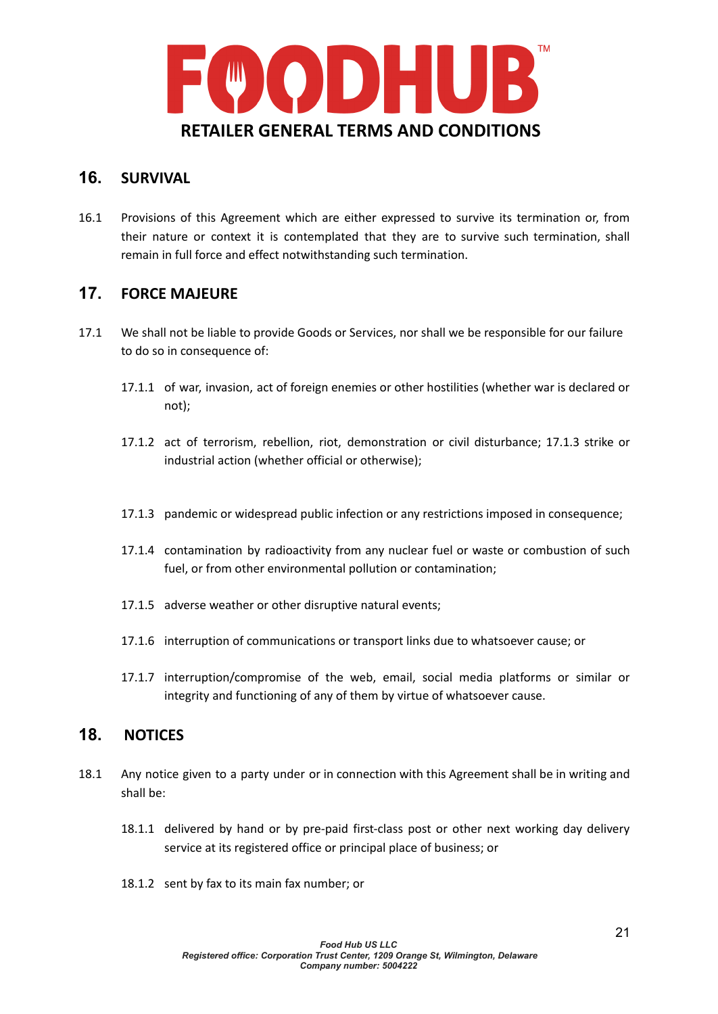

## **16. SURVIVAL**

16.1 Provisions of this Agreement which are either expressed to survive its termination or, from their nature or context it is contemplated that they are to survive such termination, shall remain in full force and effect notwithstanding such termination.

## **17. FORCE MAJEURE**

- 17.1 We shall not be liable to provide Goods or Services, nor shall we be responsible for our failure to do so in consequence of:
	- 17.1.1 of war, invasion, act of foreign enemies or other hostilities (whether war is declared or not);
	- 17.1.2 act of terrorism, rebellion, riot, demonstration or civil disturbance; 17.1.3 strike or industrial action (whether official or otherwise);
	- 17.1.3 pandemic or widespread public infection or any restrictions imposed in consequence;
	- 17.1.4 contamination by radioactivity from any nuclear fuel or waste or combustion of such fuel, or from other environmental pollution or contamination;
	- 17.1.5 adverse weather or other disruptive natural events;
	- 17.1.6 interruption of communications or transport links due to whatsoever cause; or
	- 17.1.7 interruption/compromise of the web, email, social media platforms or similar or integrity and functioning of any of them by virtue of whatsoever cause.

## **18. NOTICES**

- 18.1 Any notice given to a party under or in connection with this Agreement shall be in writing and shall be:
	- 18.1.1 delivered by hand or by pre-paid first-class post or other next working day delivery service at its registered office or principal place of business; or
	- 18.1.2 sent by fax to its main fax number; or